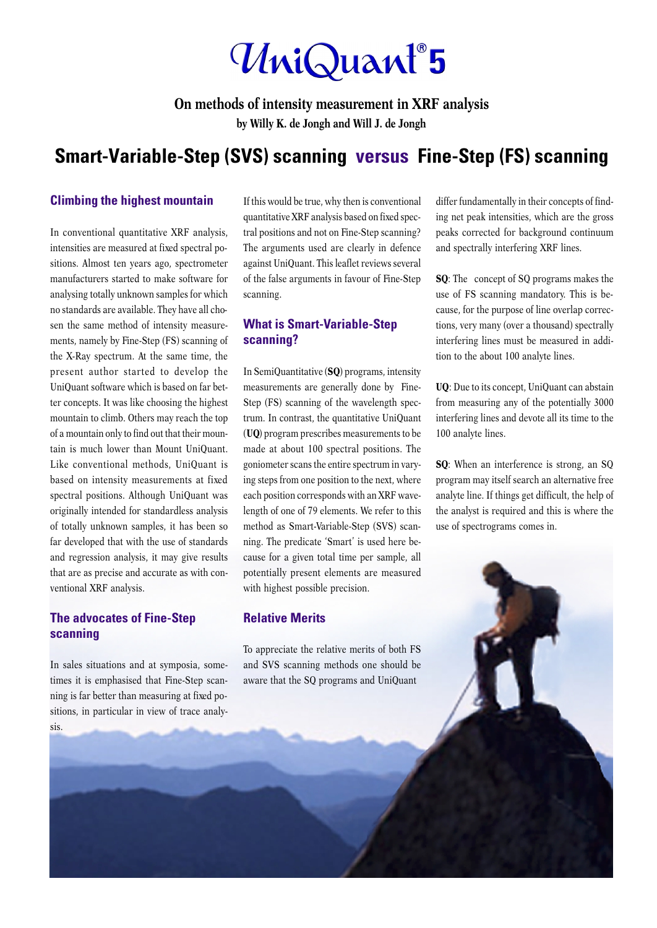# **Only**

**On methods of intensity measurement in XRF analysis**

**by Willy K. de Jongh and Will J. de Jongh**

# **Smart-Variable-Step (SVS) scanning versus Fine-Step (FS) scanning**

#### **Climbing the highest mountain**

In conventional quantitative XRF analysis, intensities are measured at fixed spectral positions. Almost ten years ago, spectrometer manufacturers started to make software for analysing totally unknown samples for which no standards are available. They have all chosen the same method of intensity measurements, namely by Fine-Step (FS) scanning of the X-Ray spectrum. At the same time, the present author started to develop the UniQuant software which is based on far better concepts. It was like choosing the highest mountain to climb. Others may reach the top of a mountain only to find out that their mountain is much lower than Mount UniQuant. Like conventional methods, UniQuant is based on intensity measurements at fixed spectral positions. Although UniQuant was originally intended for standardless analysis of totally unknown samples, it has been so far developed that with the use of standards and regression analysis, it may give results that are as precise and accurate as with conventional XRF analysis.

## **The advocates of Fine-Step scanning**

In sales situations and at symposia, sometimes it is emphasised that Fine-Step scanning is far better than measuring at fixed positions, in particular in view of trace analysis.

If this would be true, why then is conventional quantitative XRF analysis based on fixed spectral positions and not on Fine-Step scanning? The arguments used are clearly in defence against UniQuant. This leaflet reviews several of the false arguments in favour of Fine-Step scanning.

### **What is Smart-Variable-Step scanning?**

In SemiQuantitative (**SQ**) programs, intensity measurements are generally done by Fine-Step (FS) scanning of the wavelength spectrum. In contrast, the quantitative UniQuant (**UQ**) program prescribes measurements to be made at about 100 spectral positions. The goniometer scans the entire spectrum in varying steps from one position to the next, where each position corresponds with an XRF wavelength of one of 79 elements. We refer to this method as Smart-Variable-Step (SVS) scanning. The predicate 'Smart' is used here because for a given total time per sample, all potentially present elements are measured with highest possible precision.

#### **Relative Merits**

To appreciate the relative merits of both FS and SVS scanning methods one should be aware that the SQ programs and UniQuant

differ fundamentally in their concepts of finding net peak intensities, which are the gross peaks corrected for background continuum and spectrally interfering XRF lines.

**SQ**: The concept of SQ programs makes the use of FS scanning mandatory. This is because, for the purpose of line overlap corrections, very many (over a thousand) spectrally interfering lines must be measured in addition to the about 100 analyte lines.

**UQ**: Due to its concept, UniQuant can abstain from measuring any of the potentially 3000 interfering lines and devote all its time to the 100 analyte lines.

**SQ**: When an interference is strong, an SQ program may itself search an alternative free analyte line. If things get difficult, the help of the analyst is required and this is where the use of spectrograms comes in.